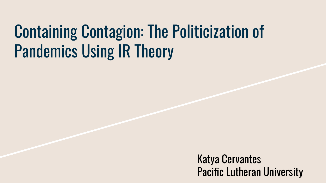# Containing Contagion: The Politicization of Pandemics Using IR Theory

Katya Cervantes Pacific Lutheran University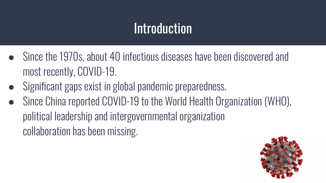### Introduction

- Since the 1970s, about 40 infectious diseases have been discovered and most recently, COVID-19.
- Significant gaps exist in global pandemic preparedness.
- Since China reported COVID-19 to the World Health Organization (WHO), political leadership and intergovernmental organization collaboration has been missing.

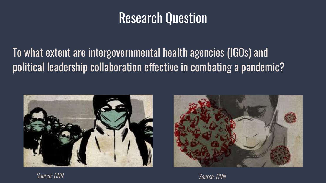#### Research Question

#### To what extent are intergovernmental health agencies (IGOs) and political leadership collaboration effective in combating a pandemic?





Source: CNN Source: CNN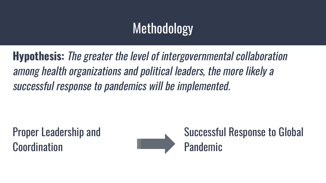### Methodology

**Hypothesis:** The greater the level of intergovernmental collaboration among health organizations and political leaders, the more likely a successful response to pandemics will be implemented.

Proper Leadership and **Coordination** 

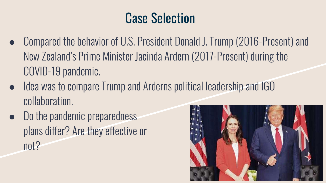#### Case Selection

- Compared the behavior of U.S. President Donald J. Trump (2016-Present) and New Zealand's Prime Minister Jacinda Ardern (2017-Present) during the COVID-19 pandemic.
- Idea was to compare Trump and Arderns political leadership and IGO collaboration.
- Do the pandemic preparedness plans differ? Are they effective or not?

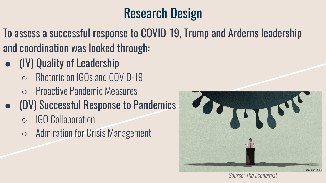## Research Design

To assess a successful response to COVID-19, Trump and Arderns leadership and coordination was looked through:

- **(IV) Quality of Leadership** 
	- **Rhetoric on IGOs and COVID-19**
	- **Proactive Pandemic Measures**
- (DV) Successful Response to Pandemics
	- IGO Collaboration
	- Admiration for Crisis Management



Source: The Economist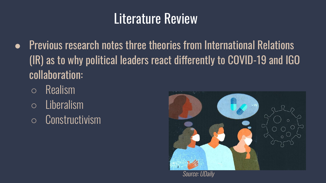#### Literature Review

- Previous research notes three theories from International Relations (IR) as to why political leaders react differently to COVID-19 and IGO collaboration:
	- Realism
	- Liberalism
	- Constructivism



Source: UDaily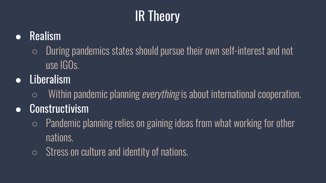# IR Theory

#### ● Realism

- $\circ$  During pandemics states should pursue their own self-interest and not use IGOs.
- Liberalism
	- Within pandemic planning *everything* is about international cooperation.
- Constructivism
	- $\circ$  Pandemic planning relies on gaining ideas from what working for other nations.
	- $\circ$  Stress on culture and identity of nations.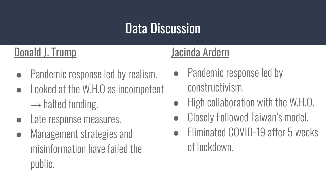## Data Discussion

### Donald J. Trump

- Pandemic response led by realism.
- **Looked at the W.H.O as incompetent**  $\rightarrow$  halted funding.
- Late response measures.
- Management strategies and misinformation have failed the public.

#### Jacinda Ardern

- Pandemic response led by constructivism.
- High collaboration with the W.H.O.
- Closely Followed Taiwan's model.
- Eliminated COVID-19 after 5 weeks of lockdown.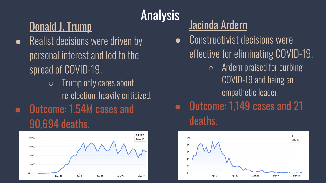#### Donald J. Trump

- Realist decisions were driven by personal interest and led to the spread of COVID-19.
	- $\circ$  Trump only cares about re-election, heavily criticized.
- Outcome: 1.54M cases and 90,694 deaths.



## Jacinda Ardern

Analysis

- Constructivist decisions were effective for eliminating COVID-19. ○ Ardern praised for curbing
	- COVID-19 and being an empathetic leader.
- Outcome: 1,149 cases and 21 deaths.